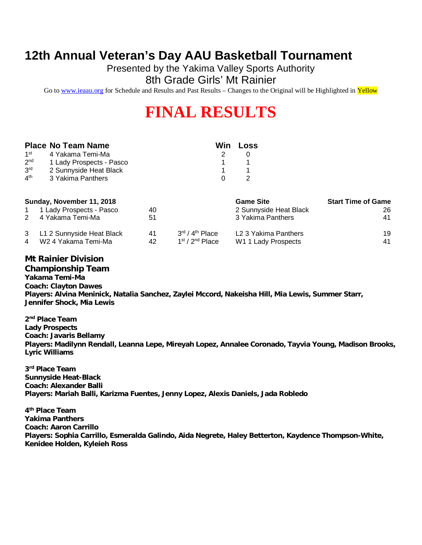### **12th Annual Veteran's Day AAU Basketball Tournament**

Presented by the Yakima Valley Sports Authority

8th Grade Girls' Mt Rainier

Go to [www.ieaau.org](http://www.ieaau.org) for Schedule and Results and Past Results – Changes to the Original will be Highlighted in Yellow

# **FINAL RESULTS**

|                 | <b>Place No Team Name</b> | Win | Loss             |
|-----------------|---------------------------|-----|------------------|
| 1 <sup>st</sup> | 4 Yakama Temi-Ma          |     |                  |
| 2 <sup>nd</sup> | 1 Lady Prospects - Pasco  |     |                  |
| 3 <sup>rd</sup> | 2 Sunnyside Heat Black    |     |                  |
| 4 <sup>th</sup> | 3 Yakima Panthers         |     |                  |
|                 | Sunday, November 11, 2018 |     | <b>Game Site</b> |
|                 | 1 Lady Prospects - Pasco  |     | 2 Sunnyside      |

| 1 1 Lady Prospects - Pasco  | 40 |                                         | 2 Sunnyside Heat Black | 26 |
|-----------------------------|----|-----------------------------------------|------------------------|----|
| 2 4 Yakama Temi-Ma          | 51 |                                         | 3 Yakima Panthers      | 41 |
| 3 L1 2 Sunnyside Heat Black | 41 | $3^{\text{rd}}$ / $4^{\text{th}}$ Place | L2 3 Yakima Panthers   | 19 |
| 4 W24 Yakama Temi-Ma        | 42 | 1 <sup>st</sup> / 2 <sup>nd</sup> Place | W1 1 Lady Prospects    | 41 |

**Start Time of Game** 

### **Mt Rainier Division**

**Championship Team Yakama Temi-Ma Coach: Clayton Dawes Players: Alvina Meninick, Natalia Sanchez, Zaylei Mccord, Nakeisha Hill, Mia Lewis, Summer Starr, Jennifer Shock, Mia Lewis**

**2 nd Place Team Lady Prospects Coach: Javaris Bellamy Players: Madilynn Rendall, Leanna Lepe, Mireyah Lopez, Annalee Coronado, Tayvia Young, Madison Brooks, Lyric Williams**

**3 rd Place Team Sunnyside Heat-Black Coach: Alexander Balli Players: Mariah Balli, Karizma Fuentes, Jenny Lopez, Alexis Daniels, Jada Robledo**

**4 th Place Team Yakima Panthers Coach: Aaron Carrillo Players: Sophia Carrillo, Esmeralda Galindo, Aida Negrete, Haley Betterton, Kaydence Thompson-White, Kenidee Holden, Kyleieh Ross**